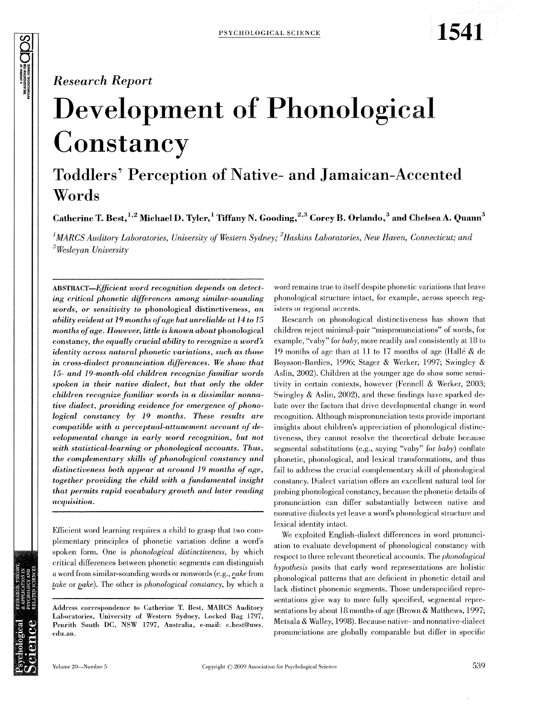1541

# **Development of Phonological** Constancy

## **Toddlers' Perception of Native- and Jamaican-Accented** Words

Catherine T. Best, <sup>1,2</sup> Michael D. Tyler, <sup>1</sup> Tiffany N. Gooding, <sup>2,3</sup> Corey B. Orlando, <sup>3</sup> and Chelsea A. Quann<sup>3</sup>

<sup>1</sup>MARCS Auditory Laboratories, University of Western Sydney;  ${}^{2}$ Haskins Laboratories, New Haven, Connecticut; and  $3$ Wesleyan University

**ABSTRACT-Efficient word recognition depends on detect**ing critical phonetic differences among similar-sounding words, or sensitivity to phonological distinctiveness, an ability evident at 19 months of age but unreliable at 14 to 15 months of age. However, little is known about phonological constancy, the equally crucial ability to recognize a word's *identity across natural phonetic variations, such as those* in cross-dialect pronunciation differences. We show that 15- and 19-month-old children recognize familiar words spoken in their native dialect, but that only the older children recognize familiar words in a dissimilar nonnative dialect, providing evidence for emergence of phonological constancy by 19 months. These results are compatible with a perceptual-attunement account of developmental change in early word recognition, but not with statistical-learning or phonological accounts. Thus, the complementary skills of phonological constancy and distinctiveness both appear at around 19 months of age, together providing the child with a fundamental insight that permits rapid vocabulary growth and later reading acquisition.

Efficient word learning requires a child to grasp that two complementary principles of phonetic variation define a word's spoken form. One is *phonological distinctiveness*, by which critical differences between phonetic segments can distinguish a word from similar-sounding words or nonwords (e.g., cake from take or pake). The other is phonological constancy, by which a

Address correspondence to Catherine T. Best, MARCS Auditory Laboratories, University of Western Sydney, Locked Bag 1797, Penrith South DC, NSW 1797, Australia, e-mail: c.best@uws. edu.au.

word remains true to itself despite phonetic variations that leave phonological structure intact, for example, across speech registers or regional accents.

Research on phonological distinctiveness has shown that children reject minimal-pair "mispronunciations" of words, for example, "vaby" for *baby*, more readily and consistently at 18 to 19 months of age than at 11 to 17 months of age (Hallé & de Boysson-Bardies, 1996; Stager & Werker, 1997; Swingley & Aslin, 2002). Children at the younger age do show some sensitivity in certain contexts, however (Fennell & Werker, 2003; Swingley & Aslin, 2002), and these findings have sparked debate over the factors that drive developmental change in word recognition. Although mispronunciation tests provide important insights about children's appreciation of phonological distinctiveness, they cannot resolve the theoretical debate because segmental substitutions (e.g., saying "vaby" for  $baby$ ) conflate phonetic, phonological, and lexical transformations, and thus fail to address the crucial complementary skill of phonological constancy. Dialect variation offers an excellent natural tool for probing phonological constancy, because the phonetic details of pronunciation can differ substantially between native and nonnative dialects yet leave a word's phonological structure and lexical identity intact.

We exploited English-dialect differences in word pronunciation to evaluate development of phonological constancy with respect to three relevant theoretical accounts. The *phonological* hypothesis posits that early word representations are holistic phonological patterns that are deficient in phonetic detail and lack distinct phonemic segments. Those underspecified representations give way to more fully specified, segmental representations by about 18 months of age (Brown & Matthews, 1997; Metsala & Walley, 1998). Because native- and nonnative-dialect pronunciations are globally comparable but differ in specific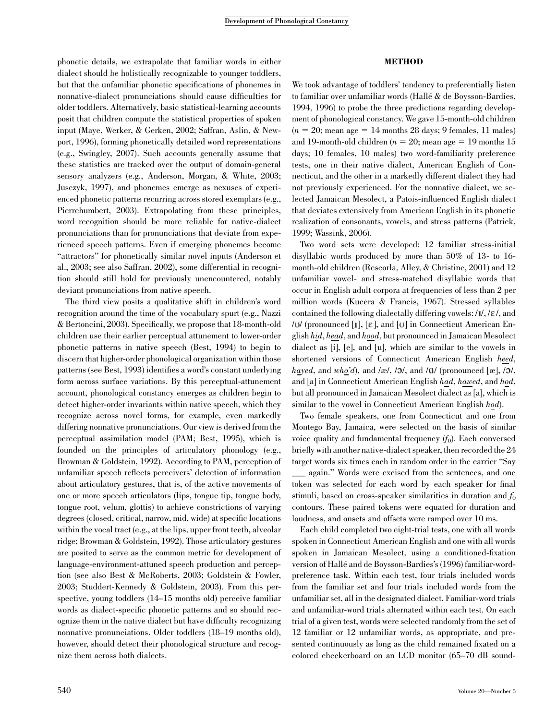### phonetic details, we extrapolate that familiar words in either dialect should be holistically recognizable to younger toddlers, but that the unfamiliar phonetic specifications of phonemes in nonnative-dialect pronunciations should cause difficulties for older toddlers. Alternatively, basic statistical-learning accounts posit that children compute the statistical properties of spoken input (Maye, Werker, & Gerken, 2002; Saffran, Aslin, & Newport, 1996), forming phonetically detailed word representations (e.g., Swingley, 2007). Such accounts generally assume that these statistics are tracked over the output of domain-general sensory analyzers (e.g., Anderson, Morgan, & White, 2003; Jusczyk, 1997), and phonemes emerge as nexuses of experienced phonetic patterns recurring across stored exemplars (e.g., Pierrehumbert, 2003). Extrapolating from these principles, word recognition should be more reliable for native-dialect pronunciations than for pronunciations that deviate from experienced speech patterns. Even if emerging phonemes become ''attractors'' for phonetically similar novel inputs (Anderson et al., 2003; see also Saffran, 2002), some differential in recognition should still hold for previously unencountered, notably deviant pronunciations from native speech.

The third view posits a qualitative shift in children's word recognition around the time of the vocabulary spurt (e.g., Nazzi & Bertoncini, 2003). Specifically, we propose that 18-month-old children use their earlier perceptual attunement to lower-order phonetic patterns in native speech (Best, 1994) to begin to discern that higher-order phonological organization within those patterns (see Best, 1993) identifies a word's constant underlying form across surface variations. By this perceptual-attunement account, phonological constancy emerges as children begin to detect higher-order invariants within native speech, which they recognize across novel forms, for example, even markedly differing nonnative pronunciations. Our view is derived from the perceptual assimilation model (PAM; Best, 1995), which is founded on the principles of articulatory phonology (e.g., Browman & Goldstein, 1992). According to PAM, perception of unfamiliar speech reflects perceivers' detection of information about articulatory gestures, that is, of the active movements of one or more speech articulators (lips, tongue tip, tongue body, tongue root, velum, glottis) to achieve constrictions of varying degrees (closed, critical, narrow, mid, wide) at specific locations within the vocal tract (e.g., at the lips, upper front teeth, alveolar ridge; Browman & Goldstein, 1992). Those articulatory gestures are posited to serve as the common metric for development of language-environment-attuned speech production and perception (see also Best & McRoberts, 2003; Goldstein & Fowler, 2003; Studdert-Kennedy & Goldstein, 2003). From this perspective, young toddlers (14–15 months old) perceive familiar words as dialect-specific phonetic patterns and so should recognize them in the native dialect but have difficulty recognizing nonnative pronunciations. Older toddlers (18–19 months old), however, should detect their phonological structure and recognize them across both dialects.

#### METHOD

We took advantage of toddlers' tendency to preferentially listen to familiar over unfamiliar words (Hallé  $\&$  de Boysson-Bardies, 1994, 1996) to probe the three predictions regarding development of phonological constancy. We gave 15-month-old children  $(n = 20; \text{mean age} = 14 \text{ months } 28 \text{ days}; 9 \text{ females}, 11 \text{ males})$ and 19-month-old children ( $n = 20$ ; mean age  $= 19$  months 15 days; 10 females, 10 males) two word-familiarity preference tests, one in their native dialect, American English of Connecticut, and the other in a markedly different dialect they had not previously experienced. For the nonnative dialect, we selected Jamaican Mesolect, a Patois-influenced English dialect that deviates extensively from American English in its phonetic realization of consonants, vowels, and stress patterns (Patrick, 1999; Wassink, 2006).

Two word sets were developed: 12 familiar stress-initial disyllabic words produced by more than 50% of 13- to 16 month-old children (Rescorla, Alley, & Christine, 2001) and 12 unfamiliar vowel- and stress-matched disyllabic words that occur in English adult corpora at frequencies of less than 2 per million words (Kucera & Francis, 1967). Stressed syllables contained the following dialectally differing vowels:  $/I/$ ,  $/E/$ , and / $U$  (pronounced [1], [ $\varepsilon$ ], and [U] in Connecticut American English hid, head, and hood, but pronounced in Jamaican Mesolect dialect as [i], [e], and [u], which are similar to the vowels in shortened versions of Connecticut American English heed, hayed, and who'd), and /æ/,  $/2$ /, and / $\alpha$ / (pronounced [æ],  $/2$ /, and [a] in Connecticut American English had, hawed, and hod, but all pronounced in Jamaican Mesolect dialect as [a], which is similar to the vowel in Connecticut American English hod).

Two female speakers, one from Connecticut and one from Montego Bay, Jamaica, were selected on the basis of similar voice quality and fundamental frequency  $(f_0)$ . Each conversed briefly with another native-dialect speaker, then recorded the 24 target words six times each in random order in the carrier "Say \_\_\_ again.'' Words were excised from the sentences, and one token was selected for each word by each speaker for final stimuli, based on cross-speaker similarities in duration and  $f_0$ contours. These paired tokens were equated for duration and loudness, and onsets and offsets were ramped over 10 ms.

Each child completed two eight-trial tests, one with all words spoken in Connecticut American English and one with all words spoken in Jamaican Mesolect, using a conditioned-fixation version of Hallé and de Boysson-Bardies's (1996) familiar-wordpreference task. Within each test, four trials included words from the familiar set and four trials included words from the unfamiliar set, all in the designated dialect. Familiar-word trials and unfamiliar-word trials alternated within each test. On each trial of a given test, words were selected randomly from the set of 12 familiar or 12 unfamiliar words, as appropriate, and presented continuously as long as the child remained fixated on a colored checkerboard on an LCD monitor (65–70 dB sound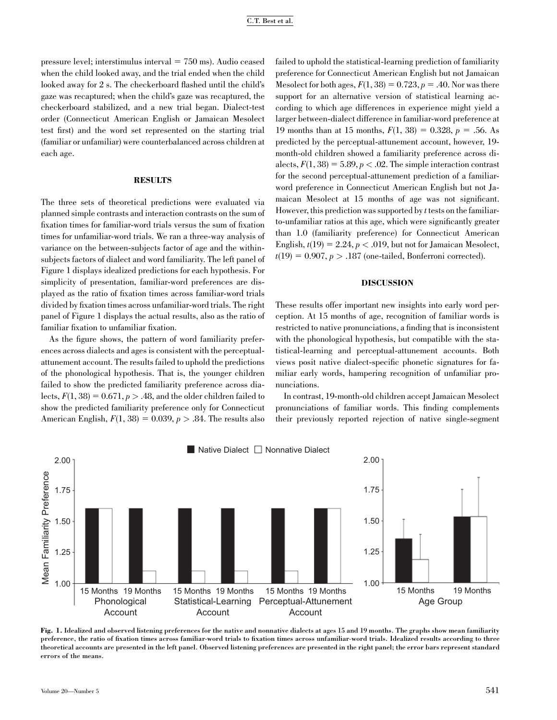pressure level; interstimulus interval  $= 750$  ms). Audio ceased when the child looked away, and the trial ended when the child looked away for 2 s. The checkerboard flashed until the child's gaze was recaptured; when the child's gaze was recaptured, the checkerboard stabilized, and a new trial began. Dialect-test order (Connecticut American English or Jamaican Mesolect test first) and the word set represented on the starting trial (familiar or unfamiliar) were counterbalanced across children at each age.

#### **RESULTS**

The three sets of theoretical predictions were evaluated via planned simple contrasts and interaction contrasts on the sum of fixation times for familiar-word trials versus the sum of fixation times for unfamiliar-word trials. We ran a three-way analysis of variance on the between-subjects factor of age and the withinsubjects factors of dialect and word familiarity. The left panel of Figure 1 displays idealized predictions for each hypothesis. For simplicity of presentation, familiar-word preferences are displayed as the ratio of fixation times across familiar-word trials divided by fixation times across unfamiliar-word trials. The right panel of Figure 1 displays the actual results, also as the ratio of familiar fixation to unfamiliar fixation.

As the figure shows, the pattern of word familiarity preferences across dialects and ages is consistent with the perceptualattunement account. The results failed to uphold the predictions of the phonological hypothesis. That is, the younger children failed to show the predicted familiarity preference across dialects,  $F(1, 38) = 0.671$ ,  $p > .48$ , and the older children failed to show the predicted familiarity preference only for Connecticut American English,  $F(1, 38) = 0.039$ ,  $p > .84$ . The results also

failed to uphold the statistical-learning prediction of familiarity preference for Connecticut American English but not Jamaican Mesolect for both ages,  $F(1, 38) = 0.723$ ,  $p = .40$ . Nor was there support for an alternative version of statistical learning according to which age differences in experience might yield a larger between-dialect difference in familiar-word preference at 19 months than at 15 months,  $F(1, 38) = 0.328$ ,  $p = .56$ . As predicted by the perceptual-attunement account, however, 19 month-old children showed a familiarity preference across dialects,  $F(1, 38) = 5.89$ ,  $p < .02$ . The simple interaction contrast for the second perceptual-attunement prediction of a familiarword preference in Connecticut American English but not Jamaican Mesolect at 15 months of age was not significant. However, this prediction was supported by  $t$  tests on the familiarto-unfamiliar ratios at this age, which were significantly greater than 1.0 (familiarity preference) for Connecticut American English,  $t(19) = 2.24$ ,  $p < .019$ , but not for Jamaican Mesolect,  $t(19) = 0.907, p > .187$  (one-tailed, Bonferroni corrected).

#### DISCUSSION

These results offer important new insights into early word perception. At 15 months of age, recognition of familiar words is restricted to native pronunciations, a finding that is inconsistent with the phonological hypothesis, but compatible with the statistical-learning and perceptual-attunement accounts. Both views posit native dialect-specific phonetic signatures for familiar early words, hampering recognition of unfamiliar pronunciations.

In contrast, 19-month-old children accept Jamaican Mesolect pronunciations of familiar words. This finding complements their previously reported rejection of native single-segment



Fig. 1. Idealized and observed listening preferences for the native and nonnative dialects at ages 15 and 19 months. The graphs show mean familiarity preference, the ratio of fixation times across familiar-word trials to fixation times across unfamiliar-word trials. Idealized results according to three theoretical accounts are presented in the left panel. Observed listening preferences are presented in the right panel; the error bars represent standard errors of the means.